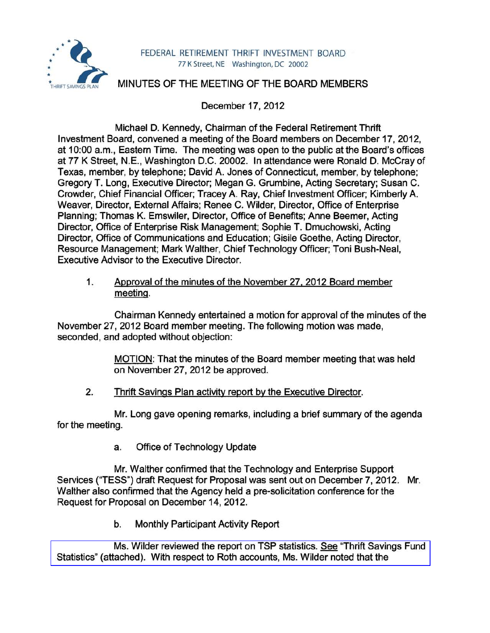

## MINUTES OF THE MEETING OF THE BOARD MEMBERS

December 17,2012

Michael D. Kennedy, Chairman of the Federal Retirement Thrift Investment Board, convened a meeting of the Board members on December 17,2012, at 10:00 a.m., Eastern Time. The meeting was open to the public at the Board's offices at 77 K Street, N.E., Washington D.C. 20002. In attendance were Ronald D. McCray of Texas, member, by telephone; David A. Jones of Connecticut, member, by telephone; Gregory T. Long, Executive Director; Megan G. Grumbine, Acting Secretary; Susan C. Crowder, Chief Financial Officer; Tracey A. Ray, Chief Investment Officer; Kimberly A. Weaver, Director, External Affairs; Renee C. Wilder, Director, Office of Enterprise Planning; Thomas K. Emswiler, Director, Office of Benefits; Anne Beemer, Acting Director, Office of Enterprise Risk Management; Sophie T. Dmuchowski, Acting Director, Office of Communications and Education; Gisile Goethe, Acting Director. Resource Management; Mark Walther, Chief Technology Officer; Toni Bush-Neal, Executive Advisor to the Executive Director.

1. Approval of the minutes of the November 27.2012 Board member meeting.

Chairman Kennedy entertained a motion for approval of the minutes of the November 27,2012 Board member meeting. The following motion was made, seconded, and adopted without objection:

> MOTION: That the minutes of the Board member meeting that was held on November 27,2012 be approved.

2. Thrift Savings Plan activity report by the Executive Director.

Mr. Long gave opening remarks, including a brief summary of the agenda for the meeting.

a. Office of Technology Update

Mr. Walther confirmed that the Technology and Enterprise Support Services ("TESS") draft Request for Proposal was sent out on December 7,2012. Mr. Walther also confirmed that the Agency held a pre-solicitation conference for the Request for Proposal on December 14, 2012.

b. Monthly Participant Activity Report

Ms. Wilder reviewed the report on TSP statistics. See "Thrift Savings Fund [Statistics" \(attached\). With respect to Roth accounts, Ms. Wilder noted that the](http://www.frtib.gov/pdf/minutes/MM-2012Dec-Att1.pdf)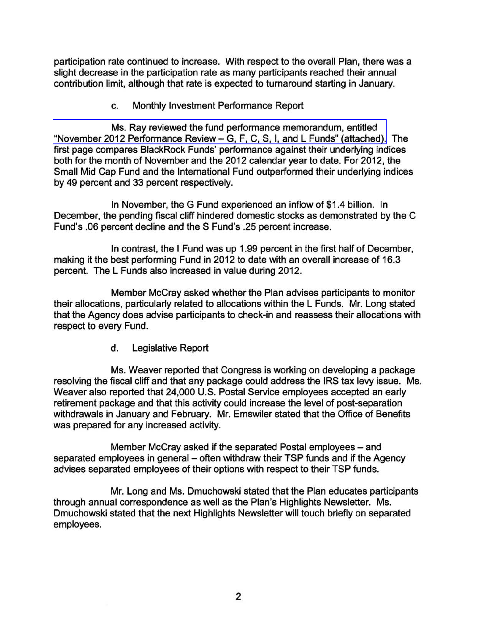participation rate continued to increase. With respect to the overall Plan, there was a slight decrease in the participation rate as many participants reached their annual contribution limit, although that rate is expected to turnaround starting in January.

c. Monthly Investment Performance Report

[Ms. Ray reviewed the fund performance memorandum, entitled](http://www.frtib.gov/pdf/minutes/MM-2012Dec-Att2.pdf)  "November 2012 Performance Review - G, F, C, S, I, and L Funds" (attached). The first page compares BlackRock Funds' performance against their underlying indices both for the month of November and the 2012 calendar year to date. For 2012, the Small Mid Cap Fund and the International Fund outperformed their underlying indices by 49 percent and 33 percent respectively.

In November, the G Fund experienced an inflow of \$1.4 billion. In December, the pending fiscal cliff hindered domestic stocks as demonstrated by the C Fund's .06 percent decline and the S Fund's .25 percent increase.

In contrast, the I Fund was up 1.99 percent in the first half of December, making it the best performing Fund in 2012 to date with an overall increase of 16.3 percent. The L Funds also increased in value during 2012.

Member McCray asked whether the Plan advises participants to monitor their allocations, particularly related to allocations within the L Funds. Mr. Long stated that the Agency does advise participants to check-in and reassess their allocations with respect to every Fund.

d. Legislative Report

Ms. Weaver reported that Congress is working on developing a package resolving the fiscal cliff and that any package could address the IRS tax levy issue. Ms. Weaver also reported that 24,000 U.S. Postal Service employees accepted an early retirement package and that this activity could increase the level of post-separation withdrawals in January and February. Mr. Emswiler stated that the Office of Benefits was prepared for any increased activity.

Member McCray asked if the separated Postal employees – and separated employees in general – often withdraw their TSP funds and if the Agency advises separated employees of their options with respect to their TSP funds.

Mr. Long and Ms. Dmuchowski stated that the Plan educates participants through annual correspondence as well as the Plan's Highlights Newsletter. Ms. Dmuchowski stated that the next Highlights Newsletter will touch briefly on separated employees.